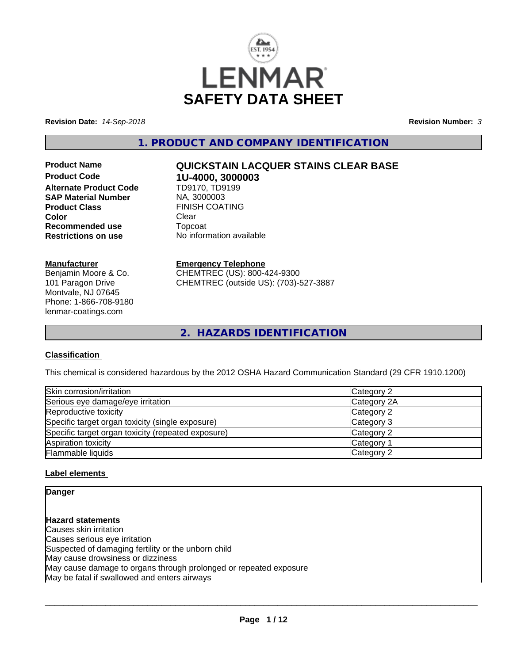

**Revision Date:** *14-Sep-2018* **Revision Number:** *3*

**1. PRODUCT AND COMPANY IDENTIFICATION**

**Product Code 1U-4000, 3000003 Alternate Product Code SAP Material Number** NA, 3000003 **Product Class** FINISH COATING<br> **Color** Clear **Color** Clear Clear **Recommended use** Topcoat **Restrictions on use** No information available

#### **Manufacturer**

Benjamin Moore & Co. 101 Paragon Drive Montvale, NJ 07645 Phone: 1-866-708-9180 lenmar-coatings.com

# **Product Name QUICKSTAIN LACQUER STAINS CLEAR BASE**

**Emergency Telephone** CHEMTREC (US): 800-424-9300 CHEMTREC (outside US): (703)-527-3887

**2. HAZARDS IDENTIFICATION**

# **Classification**

This chemical is considered hazardous by the 2012 OSHA Hazard Communication Standard (29 CFR 1910.1200)

| Skin corrosion/irritation                          | Category 2  |
|----------------------------------------------------|-------------|
| Serious eye damage/eye irritation                  | Category 2A |
| Reproductive toxicity                              | Category 2  |
| Specific target organ toxicity (single exposure)   | Category 3  |
| Specific target organ toxicity (repeated exposure) | Category 2  |
| Aspiration toxicity                                | Category 1  |
| Flammable liquids                                  | Category 2  |

# **Label elements**

**Danger**

# **Hazard statements**

Causes skin irritation Causes serious eye irritation Suspected of damaging fertility or the unborn child May cause drowsiness or dizziness May cause damage to organs through prolonged or repeated exposure May be fatal if swallowed and enters airways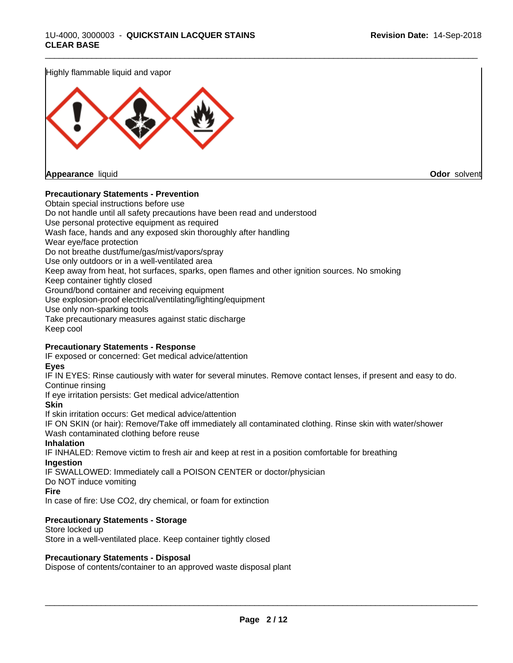Highly flammable liquid and vapor



**Appearance** liquid **Odor** solvent

## **Precautionary Statements - Prevention**

Obtain special instructions before use Do not handle until all safety precautions have been read and understood Use personal protective equipment as required Wash face, hands and any exposed skin thoroughly after handling Wear eye/face protection Do not breathe dust/fume/gas/mist/vapors/spray Use only outdoors or in a well-ventilated area Keep away from heat, hot surfaces, sparks, open flames and other ignition sources. No smoking Keep container tightly closed Ground/bond container and receiving equipment Use explosion-proof electrical/ventilating/lighting/equipment Use only non-sparking tools Take precautionary measures against static discharge Keep cool

\_\_\_\_\_\_\_\_\_\_\_\_\_\_\_\_\_\_\_\_\_\_\_\_\_\_\_\_\_\_\_\_\_\_\_\_\_\_\_\_\_\_\_\_\_\_\_\_\_\_\_\_\_\_\_\_\_\_\_\_\_\_\_\_\_\_\_\_\_\_\_\_\_\_\_\_\_\_\_\_\_\_\_\_\_\_\_\_\_\_\_\_\_

## **Precautionary Statements - Response**

IF exposed or concerned: Get medical advice/attention

**Eyes**

IF IN EYES: Rinse cautiously with water for several minutes. Remove contact lenses, if present and easy to do. Continue rinsing

If eye irritation persists: Get medical advice/attention

**Skin**

If skin irritation occurs: Get medical advice/attention

IF ON SKIN (or hair): Remove/Take off immediately all contaminated clothing. Rinse skin with water/shower Wash contaminated clothing before reuse

#### **Inhalation**

IF INHALED: Remove victim to fresh air and keep at rest in a position comfortable for breathing **Ingestion**

IF SWALLOWED: Immediately call a POISON CENTER or doctor/physician

Do NOT induce vomiting

**Fire**

In case of fire: Use CO2, dry chemical, or foam for extinction

## **Precautionary Statements - Storage**

Store locked up Store in a well-ventilated place. Keep container tightly closed

#### **Precautionary Statements - Disposal**

Dispose of contents/container to an approved waste disposal plant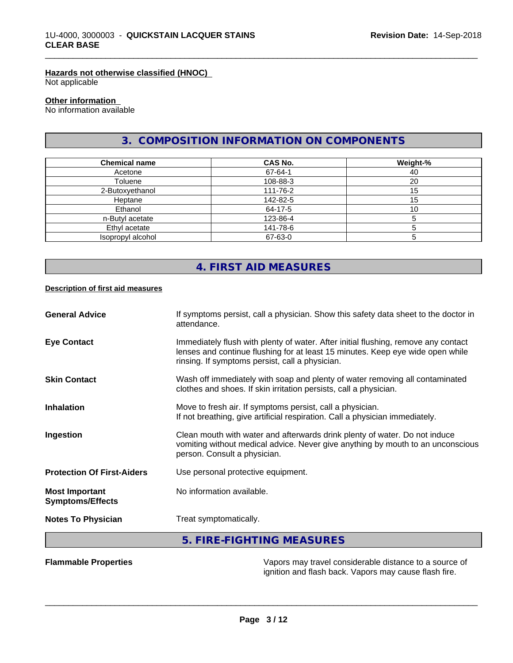## **Hazards not otherwise classified (HNOC)**

Not applicable

## **Other information**

No information available

# **3. COMPOSITION INFORMATION ON COMPONENTS**

\_\_\_\_\_\_\_\_\_\_\_\_\_\_\_\_\_\_\_\_\_\_\_\_\_\_\_\_\_\_\_\_\_\_\_\_\_\_\_\_\_\_\_\_\_\_\_\_\_\_\_\_\_\_\_\_\_\_\_\_\_\_\_\_\_\_\_\_\_\_\_\_\_\_\_\_\_\_\_\_\_\_\_\_\_\_\_\_\_\_\_\_\_

| <b>Chemical name</b> | <b>CAS No.</b> | Weight-% |
|----------------------|----------------|----------|
| Acetone              | 67-64-1        | 40       |
| Toluene              | 108-88-3       | 20       |
| 2-Butoxyethanol      | 111-76-2       | 15       |
| Heptane              | 142-82-5       | 15       |
| Ethanol              | 64-17-5        | 10       |
| n-Butyl acetate      | 123-86-4       |          |
| Ethyl acetate        | 141-78-6       |          |
| Isopropyl alcohol    | 67-63-0        |          |

# **4. FIRST AID MEASURES**

#### **Description of first aid measures**

| <b>Flammable Properties</b>                      | Vapors may travel considerable distance to a source of                                                                                                                                                                  |
|--------------------------------------------------|-------------------------------------------------------------------------------------------------------------------------------------------------------------------------------------------------------------------------|
|                                                  | 5. FIRE-FIGHTING MEASURES                                                                                                                                                                                               |
| <b>Notes To Physician</b>                        | Treat symptomatically.                                                                                                                                                                                                  |
| <b>Most Important</b><br><b>Symptoms/Effects</b> | No information available.                                                                                                                                                                                               |
| <b>Protection Of First-Aiders</b>                | Use personal protective equipment.                                                                                                                                                                                      |
| Ingestion                                        | Clean mouth with water and afterwards drink plenty of water. Do not induce<br>vomiting without medical advice. Never give anything by mouth to an unconscious<br>person. Consult a physician.                           |
| <b>Inhalation</b>                                | Move to fresh air. If symptoms persist, call a physician.<br>If not breathing, give artificial respiration. Call a physician immediately.                                                                               |
| <b>Skin Contact</b>                              | Wash off immediately with soap and plenty of water removing all contaminated<br>clothes and shoes. If skin irritation persists, call a physician.                                                                       |
| <b>Eye Contact</b>                               | Immediately flush with plenty of water. After initial flushing, remove any contact<br>lenses and continue flushing for at least 15 minutes. Keep eye wide open while<br>rinsing. If symptoms persist, call a physician. |
| <b>General Advice</b>                            | If symptoms persist, call a physician. Show this safety data sheet to the doctor in<br>attendance.                                                                                                                      |

 $\overline{\phantom{a}}$  ,  $\overline{\phantom{a}}$  ,  $\overline{\phantom{a}}$  ,  $\overline{\phantom{a}}$  ,  $\overline{\phantom{a}}$  ,  $\overline{\phantom{a}}$  ,  $\overline{\phantom{a}}$  ,  $\overline{\phantom{a}}$  ,  $\overline{\phantom{a}}$  ,  $\overline{\phantom{a}}$  ,  $\overline{\phantom{a}}$  ,  $\overline{\phantom{a}}$  ,  $\overline{\phantom{a}}$  ,  $\overline{\phantom{a}}$  ,  $\overline{\phantom{a}}$  ,  $\overline{\phantom{a}}$ 

ignition and flash back. Vapors may cause flash fire.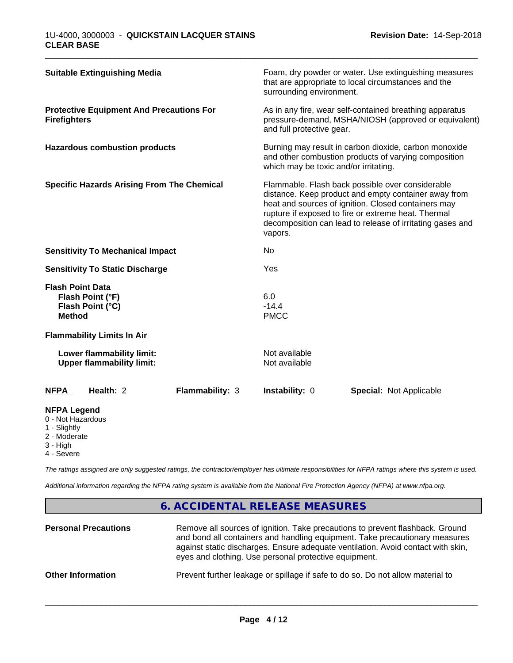| <b>Suitable Extinguishing Media</b>                                                 |                 | surrounding environment.              | Foam, dry powder or water. Use extinguishing measures<br>that are appropriate to local circumstances and the                                                                                                                                                                        |  |
|-------------------------------------------------------------------------------------|-----------------|---------------------------------------|-------------------------------------------------------------------------------------------------------------------------------------------------------------------------------------------------------------------------------------------------------------------------------------|--|
| <b>Protective Equipment And Precautions For</b><br><b>Firefighters</b>              |                 | and full protective gear.             | As in any fire, wear self-contained breathing apparatus<br>pressure-demand, MSHA/NIOSH (approved or equivalent)                                                                                                                                                                     |  |
| <b>Hazardous combustion products</b>                                                |                 | which may be toxic and/or irritating. | Burning may result in carbon dioxide, carbon monoxide<br>and other combustion products of varying composition                                                                                                                                                                       |  |
| <b>Specific Hazards Arising From The Chemical</b>                                   |                 | vapors.                               | Flammable. Flash back possible over considerable<br>distance. Keep product and empty container away from<br>heat and sources of ignition. Closed containers may<br>rupture if exposed to fire or extreme heat. Thermal<br>decomposition can lead to release of irritating gases and |  |
| <b>Sensitivity To Mechanical Impact</b>                                             |                 | No                                    |                                                                                                                                                                                                                                                                                     |  |
| <b>Sensitivity To Static Discharge</b>                                              |                 | Yes                                   |                                                                                                                                                                                                                                                                                     |  |
| <b>Flash Point Data</b><br>Flash Point (°F)<br>Flash Point (°C)<br><b>Method</b>    |                 | 6.0<br>$-14.4$<br><b>PMCC</b>         |                                                                                                                                                                                                                                                                                     |  |
| <b>Flammability Limits In Air</b>                                                   |                 |                                       |                                                                                                                                                                                                                                                                                     |  |
| Lower flammability limit:<br><b>Upper flammability limit:</b>                       |                 | Not available<br>Not available        |                                                                                                                                                                                                                                                                                     |  |
| Health: 2<br><b>NFPA</b>                                                            | Flammability: 3 | Instability: 0                        | <b>Special: Not Applicable</b>                                                                                                                                                                                                                                                      |  |
| <b>NFPA Legend</b><br>0 - Not Hazardous<br>1 - Slightly<br>2 - Moderate<br>3 - High |                 |                                       |                                                                                                                                                                                                                                                                                     |  |

\_\_\_\_\_\_\_\_\_\_\_\_\_\_\_\_\_\_\_\_\_\_\_\_\_\_\_\_\_\_\_\_\_\_\_\_\_\_\_\_\_\_\_\_\_\_\_\_\_\_\_\_\_\_\_\_\_\_\_\_\_\_\_\_\_\_\_\_\_\_\_\_\_\_\_\_\_\_\_\_\_\_\_\_\_\_\_\_\_\_\_\_\_

4 - Severe

*The ratings assigned are only suggested ratings, the contractor/employer has ultimate responsibilities for NFPA ratings where this system is used.*

*Additional information regarding the NFPA rating system is available from the National Fire Protection Agency (NFPA) at www.nfpa.org.*

# **6. ACCIDENTAL RELEASE MEASURES**

| <b>Personal Precautions</b> | Remove all sources of ignition. Take precautions to prevent flashback. Ground<br>and bond all containers and handling equipment. Take precautionary measures<br>against static discharges. Ensure adequate ventilation. Avoid contact with skin,<br>eyes and clothing. Use personal protective equipment. |
|-----------------------------|-----------------------------------------------------------------------------------------------------------------------------------------------------------------------------------------------------------------------------------------------------------------------------------------------------------|
| <b>Other Information</b>    | Prevent further leakage or spillage if safe to do so. Do not allow material to                                                                                                                                                                                                                            |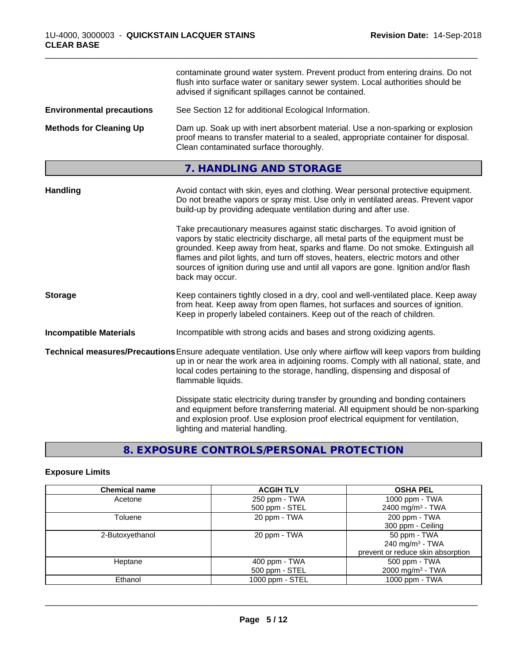|                                  | contaminate ground water system. Prevent product from entering drains. Do not<br>flush into surface water or sanitary sewer system. Local authorities should be<br>advised if significant spillages cannot be contained.                                                                                                                                                                                                                       |
|----------------------------------|------------------------------------------------------------------------------------------------------------------------------------------------------------------------------------------------------------------------------------------------------------------------------------------------------------------------------------------------------------------------------------------------------------------------------------------------|
| <b>Environmental precautions</b> | See Section 12 for additional Ecological Information.                                                                                                                                                                                                                                                                                                                                                                                          |
| <b>Methods for Cleaning Up</b>   | Dam up. Soak up with inert absorbent material. Use a non-sparking or explosion<br>proof means to transfer material to a sealed, appropriate container for disposal.<br>Clean contaminated surface thoroughly.                                                                                                                                                                                                                                  |
|                                  | 7. HANDLING AND STORAGE                                                                                                                                                                                                                                                                                                                                                                                                                        |
| <b>Handling</b>                  | Avoid contact with skin, eyes and clothing. Wear personal protective equipment.<br>Do not breathe vapors or spray mist. Use only in ventilated areas. Prevent vapor<br>build-up by providing adequate ventilation during and after use.                                                                                                                                                                                                        |
|                                  | Take precautionary measures against static discharges. To avoid ignition of<br>vapors by static electricity discharge, all metal parts of the equipment must be<br>grounded. Keep away from heat, sparks and flame. Do not smoke. Extinguish all<br>flames and pilot lights, and turn off stoves, heaters, electric motors and other<br>sources of ignition during use and until all vapors are gone. Ignition and/or flash<br>back may occur. |
| <b>Storage</b>                   | Keep containers tightly closed in a dry, cool and well-ventilated place. Keep away<br>from heat. Keep away from open flames, hot surfaces and sources of ignition.<br>Keep in properly labeled containers. Keep out of the reach of children.                                                                                                                                                                                                  |
| <b>Incompatible Materials</b>    | Incompatible with strong acids and bases and strong oxidizing agents.                                                                                                                                                                                                                                                                                                                                                                          |
|                                  | Technical measures/Precautions Ensure adequate ventilation. Use only where airflow will keep vapors from building<br>up in or near the work area in adjoining rooms. Comply with all national, state, and<br>local codes pertaining to the storage, handling, dispensing and disposal of<br>flammable liquids.                                                                                                                                 |
|                                  | Dissipate static electricity during transfer by grounding and bonding containers<br>and equipment before transferring material. All equipment should be non-sparking<br>and explosion proof. Use explosion proof electrical equipment for ventilation,<br>lighting and material handling.                                                                                                                                                      |

\_\_\_\_\_\_\_\_\_\_\_\_\_\_\_\_\_\_\_\_\_\_\_\_\_\_\_\_\_\_\_\_\_\_\_\_\_\_\_\_\_\_\_\_\_\_\_\_\_\_\_\_\_\_\_\_\_\_\_\_\_\_\_\_\_\_\_\_\_\_\_\_\_\_\_\_\_\_\_\_\_\_\_\_\_\_\_\_\_\_\_\_\_

# **8. EXPOSURE CONTROLS/PERSONAL PROTECTION**

# **Exposure Limits**

| <b>Chemical name</b> | <b>ACGIH TLV</b> | <b>OSHA PEL</b>                   |
|----------------------|------------------|-----------------------------------|
| Acetone              | 250 ppm - TWA    | 1000 ppm - TWA                    |
|                      | 500 ppm - STEL   | 2400 mg/m <sup>3</sup> - TWA      |
| Toluene              | 20 ppm - TWA     | 200 ppm - TWA                     |
|                      |                  | 300 ppm - Ceiling                 |
| 2-Butoxyethanol      | 20 ppm - TWA     | 50 ppm - TWA                      |
|                      |                  | 240 mg/m $3$ - TWA                |
|                      |                  | prevent or reduce skin absorption |
| Heptane              | 400 ppm - TWA    | 500 ppm - TWA                     |
|                      | 500 ppm - STEL   | 2000 mg/m <sup>3</sup> - TWA      |
| Ethanol              | 1000 ppm - STEL  | 1000 ppm - TWA                    |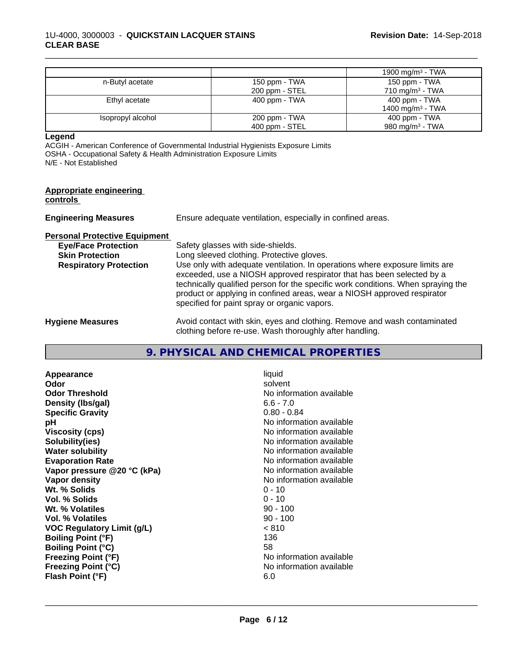|                   |                | 1900 mg/m <sup>3</sup> - TWA |
|-------------------|----------------|------------------------------|
| n-Butyl acetate   | 150 ppm - TWA  | 150 ppm - TWA                |
|                   | 200 ppm - STEL | $710 \text{ mg/m}^3$ - TWA   |
| Ethyl acetate     | 400 ppm - TWA  | $400$ ppm - TWA              |
|                   |                | 1400 mg/m <sup>3</sup> - TWA |
| Isopropyl alcohol | 200 ppm - TWA  | $400$ ppm - TWA              |
|                   | 400 ppm - STEL | 980 mg/m <sup>3</sup> - TWA  |

\_\_\_\_\_\_\_\_\_\_\_\_\_\_\_\_\_\_\_\_\_\_\_\_\_\_\_\_\_\_\_\_\_\_\_\_\_\_\_\_\_\_\_\_\_\_\_\_\_\_\_\_\_\_\_\_\_\_\_\_\_\_\_\_\_\_\_\_\_\_\_\_\_\_\_\_\_\_\_\_\_\_\_\_\_\_\_\_\_\_\_\_\_

**Legend**

ACGIH - American Conference of Governmental Industrial Hygienists Exposure Limits OSHA - Occupational Safety & Health Administration Exposure Limits N/E - Not Established

| <b>Appropriate engineering</b><br>controls |                                                                                                                                                                                                                                                                                                                                                                     |
|--------------------------------------------|---------------------------------------------------------------------------------------------------------------------------------------------------------------------------------------------------------------------------------------------------------------------------------------------------------------------------------------------------------------------|
| <b>Engineering Measures</b>                | Ensure adequate ventilation, especially in confined areas.                                                                                                                                                                                                                                                                                                          |
| <b>Personal Protective Equipment</b>       |                                                                                                                                                                                                                                                                                                                                                                     |
| <b>Eye/Face Protection</b>                 | Safety glasses with side-shields.                                                                                                                                                                                                                                                                                                                                   |
| <b>Skin Protection</b>                     | Long sleeved clothing. Protective gloves.                                                                                                                                                                                                                                                                                                                           |
| <b>Respiratory Protection</b>              | Use only with adequate ventilation. In operations where exposure limits are<br>exceeded, use a NIOSH approved respirator that has been selected by a<br>technically qualified person for the specific work conditions. When spraying the<br>product or applying in confined areas, wear a NIOSH approved respirator<br>specified for paint spray or organic vapors. |
| <b>Hygiene Measures</b>                    | Avoid contact with skin, eyes and clothing. Remove and wash contaminated<br>clothing before re-use. Wash thoroughly after handling.                                                                                                                                                                                                                                 |

# **9. PHYSICAL AND CHEMICAL PROPERTIES**

| Appearance                        | liquid                   |
|-----------------------------------|--------------------------|
| Odor                              | solvent                  |
| <b>Odor Threshold</b>             | No information available |
| Density (Ibs/gal)                 | $6.6 - 7.0$              |
| <b>Specific Gravity</b>           | $0.80 - 0.84$            |
| рH                                | No information available |
| <b>Viscosity (cps)</b>            | No information available |
| Solubility(ies)                   | No information available |
| <b>Water solubility</b>           | No information available |
| <b>Evaporation Rate</b>           | No information available |
| Vapor pressure @20 °C (kPa)       | No information available |
| Vapor density                     | No information available |
| Wt. % Solids                      | $0 - 10$                 |
| Vol. % Solids                     | $0 - 10$                 |
| Wt. % Volatiles                   | $90 - 100$               |
| Vol. % Volatiles                  | $90 - 100$               |
| <b>VOC Regulatory Limit (g/L)</b> | < 810                    |
| <b>Boiling Point (°F)</b>         | 136                      |
| <b>Boiling Point (°C)</b>         | 58                       |
| <b>Freezing Point (°F)</b>        | No information available |
| <b>Freezing Point (°C)</b>        | No information available |
| Flash Point (°F)                  | 6.0                      |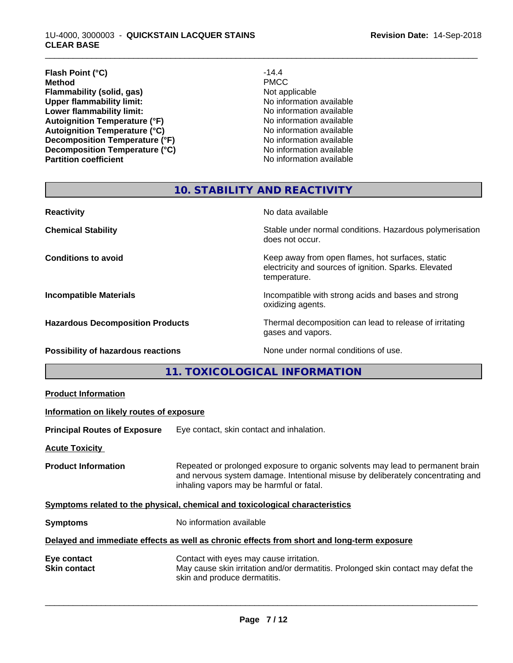#### 1U-4000, 3000003 - **QUICKSTAIN LACQUER STAINS CLEAR BASE**

#### **Flash Point (°C)** -14.4<br> **Method** PMCC **Method** PMCC **Flammability (solid, gas)**<br> **Commability limit:**<br>
Upper flammability limit:<br>
Wo information available **Upper flammability limit:**<br> **Lower flammability limit:**<br> **Lower flammability limit:**<br>
No information available **Lower flammability limit:**<br> **Autoignition Temperature (°F)**<br>
Mo information available<br>
No information available Autoignition Temperature (°F)<br>
Autoignition Temperature (°C)<br>
No information available Autoignition **Temperature** (°C) Mo information available<br>
Decomposition **Temperature** (°F) No information available **Decomposition Temperature (°F)**<br> **Decomposition Temperature (°C)**<br>
No information available **Decomposition Temperature (°C) Partition coefficient Contract Contract Contract Contract Contract Contract Contract Contract Contract Contract Contract Contract Contract Contract Contract Contract Contract Contract Contract Contract Contract Contract**

\_\_\_\_\_\_\_\_\_\_\_\_\_\_\_\_\_\_\_\_\_\_\_\_\_\_\_\_\_\_\_\_\_\_\_\_\_\_\_\_\_\_\_\_\_\_\_\_\_\_\_\_\_\_\_\_\_\_\_\_\_\_\_\_\_\_\_\_\_\_\_\_\_\_\_\_\_\_\_\_\_\_\_\_\_\_\_\_\_\_\_\_\_

# **10. STABILITY AND REACTIVITY**

| <b>Reactivity</b>                         | No data available                                                                                                         |
|-------------------------------------------|---------------------------------------------------------------------------------------------------------------------------|
| <b>Chemical Stability</b>                 | Stable under normal conditions. Hazardous polymerisation<br>does not occur.                                               |
| <b>Conditions to avoid</b>                | Keep away from open flames, hot surfaces, static<br>electricity and sources of ignition. Sparks. Elevated<br>temperature. |
| <b>Incompatible Materials</b>             | Incompatible with strong acids and bases and strong<br>oxidizing agents.                                                  |
| <b>Hazardous Decomposition Products</b>   | Thermal decomposition can lead to release of irritating<br>gases and vapors.                                              |
| <b>Possibility of hazardous reactions</b> | None under normal conditions of use.                                                                                      |

**11. TOXICOLOGICAL INFORMATION**

| Information on likely routes of exposure<br>Eye contact, skin contact and inhalation.<br><b>Acute Toxicity</b><br>Repeated or prolonged exposure to organic solvents may lead to permanent brain<br><b>Product Information</b><br>and nervous system damage. Intentional misuse by deliberately concentrating and<br>inhaling vapors may be harmful or fatal. |
|---------------------------------------------------------------------------------------------------------------------------------------------------------------------------------------------------------------------------------------------------------------------------------------------------------------------------------------------------------------|
| <b>Principal Routes of Exposure</b><br>Symptoms related to the physical, chemical and toxicological characteristics                                                                                                                                                                                                                                           |
|                                                                                                                                                                                                                                                                                                                                                               |
|                                                                                                                                                                                                                                                                                                                                                               |
|                                                                                                                                                                                                                                                                                                                                                               |
|                                                                                                                                                                                                                                                                                                                                                               |
| No information available<br><b>Symptoms</b>                                                                                                                                                                                                                                                                                                                   |
| Delayed and immediate effects as well as chronic effects from short and long-term exposure                                                                                                                                                                                                                                                                    |
| Contact with eyes may cause irritation.<br>Eye contact<br>May cause skin irritation and/or dermatitis. Prolonged skin contact may defat the<br><b>Skin contact</b><br>skin and produce dermatitis.                                                                                                                                                            |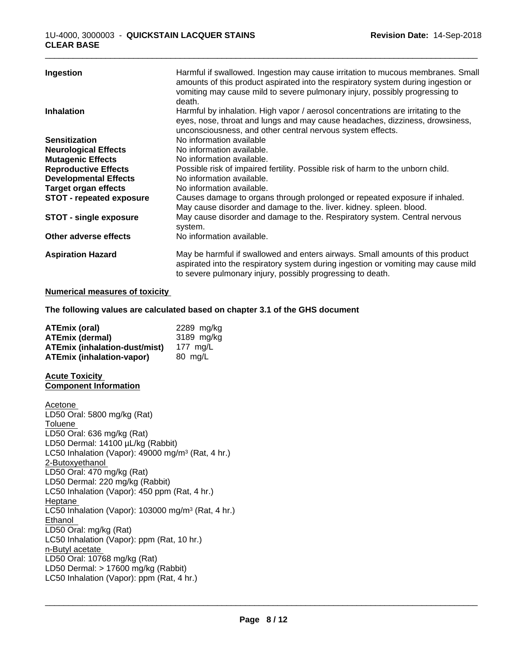| Ingestion                       | Harmful if swallowed. Ingestion may cause irritation to mucous membranes. Small<br>amounts of this product aspirated into the respiratory system during ingestion or<br>vomiting may cause mild to severe pulmonary injury, possibly progressing to<br>death. |
|---------------------------------|---------------------------------------------------------------------------------------------------------------------------------------------------------------------------------------------------------------------------------------------------------------|
| <b>Inhalation</b>               | Harmful by inhalation. High vapor / aerosol concentrations are irritating to the<br>eyes, nose, throat and lungs and may cause headaches, dizziness, drowsiness,<br>unconsciousness, and other central nervous system effects.                                |
| <b>Sensitization</b>            | No information available                                                                                                                                                                                                                                      |
| <b>Neurological Effects</b>     | No information available.                                                                                                                                                                                                                                     |
| <b>Mutagenic Effects</b>        | No information available.                                                                                                                                                                                                                                     |
| <b>Reproductive Effects</b>     | Possible risk of impaired fertility. Possible risk of harm to the unborn child.                                                                                                                                                                               |
| <b>Developmental Effects</b>    | No information available.                                                                                                                                                                                                                                     |
| <b>Target organ effects</b>     | No information available.                                                                                                                                                                                                                                     |
| <b>STOT - repeated exposure</b> | Causes damage to organs through prolonged or repeated exposure if inhaled.<br>May cause disorder and damage to the. liver. kidney. spleen. blood.                                                                                                             |
| <b>STOT - single exposure</b>   | May cause disorder and damage to the. Respiratory system. Central nervous<br>system.                                                                                                                                                                          |
| Other adverse effects           | No information available.                                                                                                                                                                                                                                     |
| <b>Aspiration Hazard</b>        | May be harmful if swallowed and enters airways. Small amounts of this product<br>aspirated into the respiratory system during ingestion or vomiting may cause mild<br>to severe pulmonary injury, possibly progressing to death.                              |

#### **Numerical measures of toxicity**

**The following values are calculated based on chapter 3.1 of the GHS document**

| ATEmix (oral)                        | 2289 mg/kg |
|--------------------------------------|------------|
| <b>ATEmix (dermal)</b>               | 3189 mg/kg |
| <b>ATEmix (inhalation-dust/mist)</b> | 177 ma/L   |
| ATEmix (inhalation-vapor)            | 80 mg/L    |

#### **Acute Toxicity Component Information**

Acetone LD50 Oral: 5800 mg/kg (Rat) Toluene LD50 Oral: 636 mg/kg (Rat) LD50 Dermal: 14100 µL/kg (Rabbit) LC50 Inhalation (Vapor): 49000 mg/m<sup>3</sup> (Rat, 4 hr.) 2-Butoxyethanol LD50 Oral: 470 mg/kg (Rat) LD50 Dermal: 220 mg/kg (Rabbit) LC50 Inhalation (Vapor): 450 ppm (Rat, 4 hr.) Heptane LC50 Inhalation (Vapor): 103000 mg/m<sup>3</sup> (Rat, 4 hr.) Ethanol LD50 Oral: mg/kg (Rat) LC50 Inhalation (Vapor): ppm (Rat, 10 hr.) n-Butyl acetate LD50 Oral: 10768 mg/kg (Rat) LD50 Dermal: > 17600 mg/kg (Rabbit) LC50 Inhalation (Vapor): ppm (Rat, 4 hr.)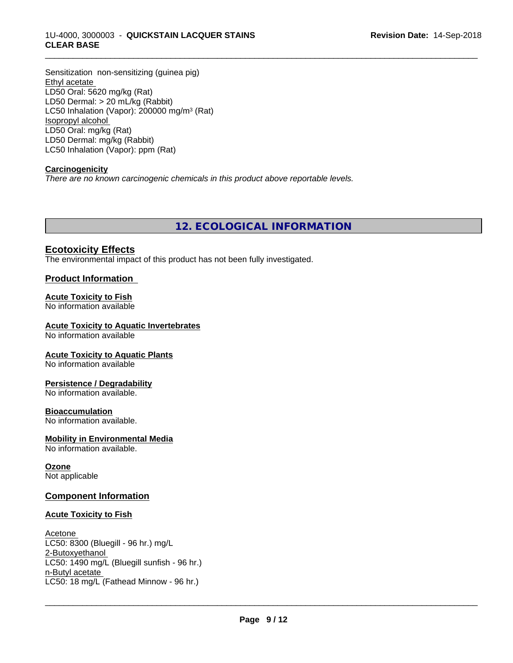## 1U-4000, 3000003 - **QUICKSTAIN LACQUER STAINS CLEAR BASE**

Sensitization non-sensitizing (guinea pig) Ethyl acetate LD50 Oral: 5620 mg/kg (Rat) LD50 Dermal: > 20 mL/kg (Rabbit) LC50 Inhalation (Vapor): 200000 mg/m<sup>3</sup> (Rat) Isopropyl alcohol LD50 Oral: mg/kg (Rat) LD50 Dermal: mg/kg (Rabbit) LC50 Inhalation (Vapor): ppm (Rat)

## **Carcinogenicity**

*There are no known carcinogenic chemicals in this product above reportable levels.*

**12. ECOLOGICAL INFORMATION**

\_\_\_\_\_\_\_\_\_\_\_\_\_\_\_\_\_\_\_\_\_\_\_\_\_\_\_\_\_\_\_\_\_\_\_\_\_\_\_\_\_\_\_\_\_\_\_\_\_\_\_\_\_\_\_\_\_\_\_\_\_\_\_\_\_\_\_\_\_\_\_\_\_\_\_\_\_\_\_\_\_\_\_\_\_\_\_\_\_\_\_\_\_

# **Ecotoxicity Effects**

The environmental impact of this product has not been fully investigated.

# **Product Information**

#### **Acute Toxicity to Fish**

No information available

#### **Acute Toxicity to Aquatic Invertebrates**

No information available

#### **Acute Toxicity to Aquatic Plants**

No information available

#### **Persistence / Degradability**

No information available.

#### **Bioaccumulation**

No information available.

#### **Mobility in Environmental Media**

No information available.

# **Ozone**

Not applicable

#### **Component Information**

## **Acute Toxicity to Fish**

#### Acetone

LC50: 8300 (Bluegill - 96 hr.) mg/L 2-Butoxyethanol LC50: 1490 mg/L (Bluegill sunfish - 96 hr.) n-Butyl acetate \_\_\_\_\_\_\_\_\_\_\_\_\_\_\_\_\_\_\_\_\_\_\_\_\_\_\_\_\_\_\_\_\_\_\_\_\_\_\_\_\_\_\_\_\_\_\_\_\_\_\_\_\_\_\_\_\_\_\_\_\_\_\_\_\_\_\_\_\_\_\_\_\_\_\_\_\_\_\_\_\_\_\_\_\_\_\_\_\_\_\_\_\_ LC50: 18 mg/L (Fathead Minnow - 96 hr.)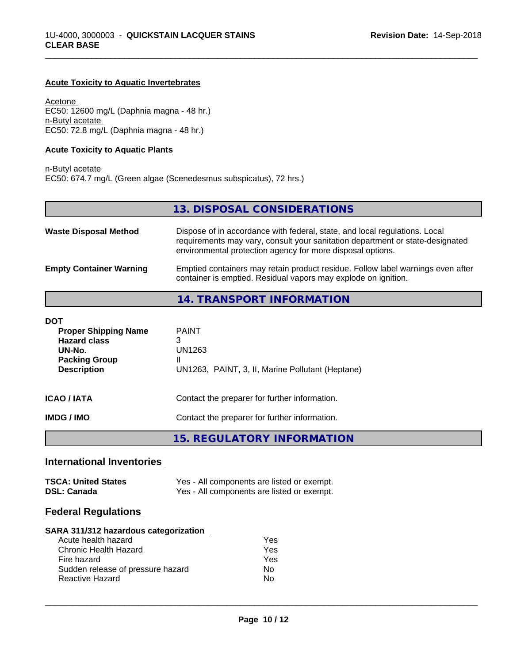## **Acute Toxicity to Aquatic Invertebrates**

Acetone EC50: 12600 mg/L (Daphnia magna - 48 hr.) n-Butyl acetate EC50: 72.8 mg/L (Daphnia magna - 48 hr.)

#### **Acute Toxicity to Aquatic Plants**

n-Butyl acetate EC50: 674.7 mg/L (Green algae (Scenedesmus subspicatus), 72 hrs.)

|                                | 13. DISPOSAL CONSIDERATIONS                                                                                                                                                                                               |
|--------------------------------|---------------------------------------------------------------------------------------------------------------------------------------------------------------------------------------------------------------------------|
| <b>Waste Disposal Method</b>   | Dispose of in accordance with federal, state, and local regulations. Local<br>requirements may vary, consult your sanitation department or state-designated<br>environmental protection agency for more disposal options. |
| <b>Empty Container Warning</b> | Emptied containers may retain product residue. Follow label warnings even after<br>container is emptied. Residual vapors may explode on ignition.                                                                         |
|                                | 14. TRANSPORT INFORMATION                                                                                                                                                                                                 |

\_\_\_\_\_\_\_\_\_\_\_\_\_\_\_\_\_\_\_\_\_\_\_\_\_\_\_\_\_\_\_\_\_\_\_\_\_\_\_\_\_\_\_\_\_\_\_\_\_\_\_\_\_\_\_\_\_\_\_\_\_\_\_\_\_\_\_\_\_\_\_\_\_\_\_\_\_\_\_\_\_\_\_\_\_\_\_\_\_\_\_\_\_

| DOT                                                                                                        |                                                                                      |
|------------------------------------------------------------------------------------------------------------|--------------------------------------------------------------------------------------|
| <b>Proper Shipping Name</b><br><b>Hazard class</b><br>UN-No.<br><b>Packing Group</b><br><b>Description</b> | <b>PAINT</b><br>3<br>UN1263<br>Ш<br>UN1263, PAINT, 3, II, Marine Pollutant (Heptane) |
| ICAO / IATA                                                                                                | Contact the preparer for further information.                                        |
| IMDG / IMO                                                                                                 | Contact the preparer for further information.                                        |
|                                                                                                            | 15. REGULATORY INFORMATION                                                           |

# **International Inventories**

| <b>TSCA: United States</b> | Yes - All components are listed or exempt. |
|----------------------------|--------------------------------------------|
| <b>DSL: Canada</b>         | Yes - All components are listed or exempt. |

# **Federal Regulations**

#### **SARA 311/312 hazardous categorization**

| Acute health hazard               | Yes |
|-----------------------------------|-----|
| Chronic Health Hazard             | Yes |
| Fire hazard                       | Yes |
| Sudden release of pressure hazard | Nο  |
| <b>Reactive Hazard</b>            | N٥  |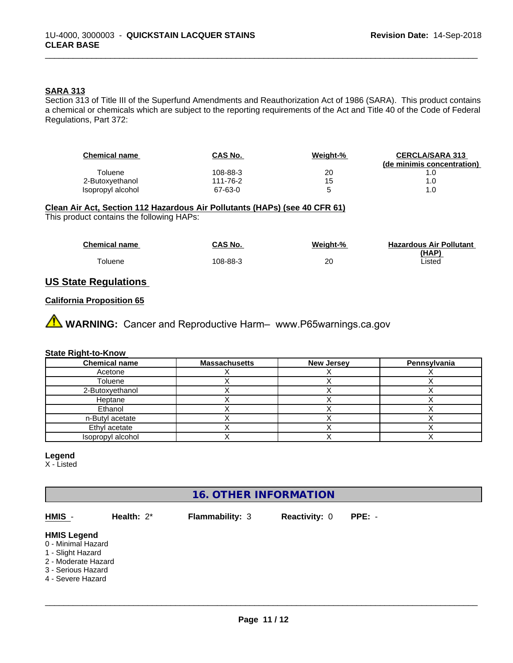### **SARA 313**

Section 313 of Title III of the Superfund Amendments and Reauthorization Act of 1986 (SARA). This product contains a chemical or chemicals which are subject to the reporting requirements of the Act and Title 40 of the Code of Federal Regulations, Part 372:

| <b>Chemical name</b> | CAS No.  | Weight-% | <b>CERCLA/SARA 313</b>     |
|----------------------|----------|----------|----------------------------|
|                      |          |          | (de minimis concentration) |
| Toluene              | 108-88-3 | 20       |                            |
| 2-Butoxyethanol      | 111-76-2 | 15       | 1.0                        |
| Isopropyl alcohol    | 67-63-0  |          | 1.0                        |

\_\_\_\_\_\_\_\_\_\_\_\_\_\_\_\_\_\_\_\_\_\_\_\_\_\_\_\_\_\_\_\_\_\_\_\_\_\_\_\_\_\_\_\_\_\_\_\_\_\_\_\_\_\_\_\_\_\_\_\_\_\_\_\_\_\_\_\_\_\_\_\_\_\_\_\_\_\_\_\_\_\_\_\_\_\_\_\_\_\_\_\_\_

## **Clean Air Act,Section 112 Hazardous Air Pollutants (HAPs) (see 40 CFR 61)**

This product contains the following HAPs:

| <b>Chemical name</b> | CAS No.  | Weight-% | <b>Hazardous Air Pollutant</b> |
|----------------------|----------|----------|--------------------------------|
|                      |          |          | (HAP)                          |
| Toluene              | 108-88-3 | 20       | Listed                         |

# **US State Regulations**

### **California Proposition 65**

**A** WARNING: Cancer and Reproductive Harm– www.P65warnings.ca.gov

#### **State Right-to-Know**

| <b>Chemical name</b> | <b>Massachusetts</b> | <b>New Jersey</b> | Pennsylvania |
|----------------------|----------------------|-------------------|--------------|
| Acetone              |                      |                   |              |
| Toluene              |                      |                   |              |
| 2-Butoxyethanol      |                      |                   |              |
| Heptane              |                      |                   |              |
| Ethanol              |                      |                   |              |
| n-Butyl acetate      |                      |                   |              |
| Ethyl acetate        |                      |                   |              |
| Isopropyl alcohol    |                      |                   |              |

# **Legend**

X - Listed

# **16. OTHER INFORMATION**

| HMIS -                                                                                                                          | Health: $2^*$ | <b>Flammability: 3</b> | <b>Reactivity: 0</b> | $PPE: -$ |  |
|---------------------------------------------------------------------------------------------------------------------------------|---------------|------------------------|----------------------|----------|--|
| <b>HMIS Legend</b><br>0 - Minimal Hazard<br>1 - Slight Hazard<br>2 - Moderate Hazard<br>3 - Serious Hazard<br>4 - Severe Hazard |               |                        |                      |          |  |